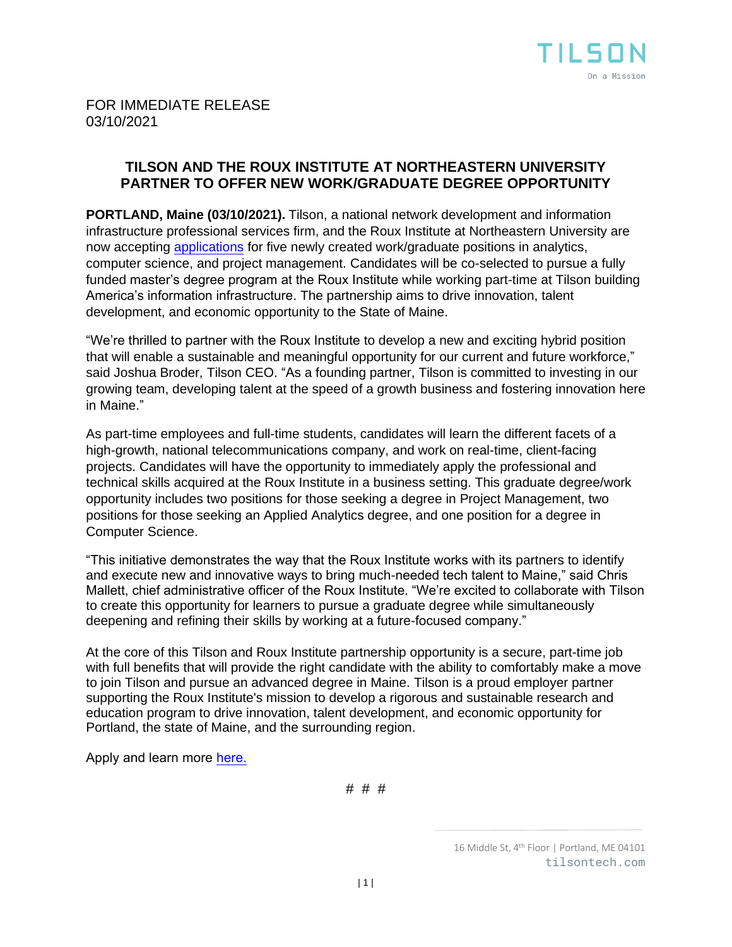

# **TILSON AND THE ROUX INSTITUTE AT NORTHEASTERN UNIVERSITY PARTNER TO OFFER NEW WORK/GRADUATE DEGREE OPPORTUNITY**

**PORTLAND, Maine (03/10/2021).** Tilson, a national network development and information infrastructure professional services firm, and the Roux Institute at Northeastern University are now accepting [applications](https://tilsontech.wd1.myworkdayjobs.com/Tilson_External_Careers/job/Portland-ME/Tilson-Roux-Partnership-Position_R-100397) for five newly created work/graduate positions in analytics, computer science, and project management. Candidates will be co-selected to pursue a fully funded master's degree program at the Roux Institute while working part-time at Tilson building America's information infrastructure. The partnership aims to drive innovation, talent development, and economic opportunity to the State of Maine.

"We're thrilled to partner with the Roux Institute to develop a new and exciting hybrid position that will enable a sustainable and meaningful opportunity for our current and future workforce," said Joshua Broder, Tilson CEO. "As a founding partner, Tilson is committed to investing in our growing team, developing talent at the speed of a growth business and fostering innovation here in Maine."

As part-time employees and full-time students, candidates will learn the different facets of a high-growth, national telecommunications company, and work on real-time, client-facing projects. Candidates will have the opportunity to immediately apply the professional and technical skills acquired at the Roux Institute in a business setting. This graduate degree/work opportunity includes two positions for those seeking a degree in Project Management, two positions for those seeking an Applied Analytics degree, and one position for a degree in Computer Science.

"This initiative demonstrates the way that the Roux Institute works with its partners to identify and execute new and innovative ways to bring much-needed tech talent to Maine," said Chris Mallett, chief administrative officer of the Roux Institute. "We're excited to collaborate with Tilson to create this opportunity for learners to pursue a graduate degree while simultaneously deepening and refining their skills by working at a future-focused company."

At the core of this Tilson and Roux Institute partnership opportunity is a secure, part-time job with full benefits that will provide the right candidate with the ability to comfortably make a move to join Tilson and pursue an advanced degree in Maine. Tilson is a proud employer partner supporting the Roux Institute's mission to develop a rigorous and sustainable research and education program to drive innovation, talent development, and economic opportunity for Portland, the state of Maine, and the surrounding region.

Apply and learn more [here](https://tilsontech.com/tilson-roux-institute-partnership)[.](https://tilsontech.wd1.myworkdayjobs.com/Tilson_External_Careers/job/Portland-ME/Tilson-Roux-Partnership-Position_R-100397)

# # #

<sup>16</sup> Middle St, 4th Floor | Portland, ME 04101 tilsontech.com